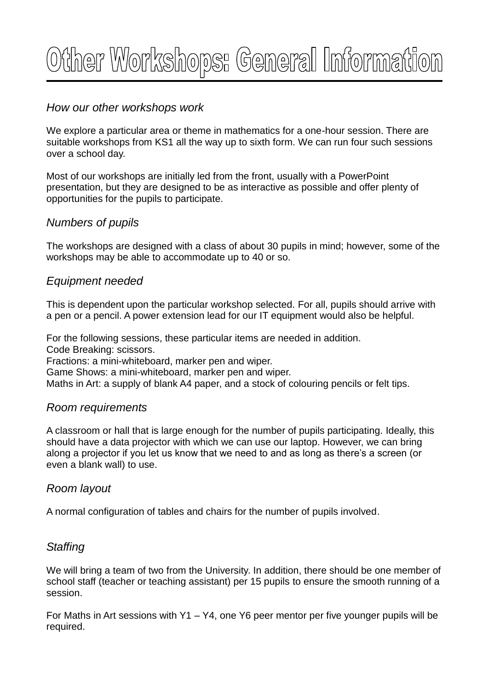# Other Workshops: General Information

## *How our other workshops work*

We explore a particular area or theme in mathematics for a one-hour session. There are suitable workshops from KS1 all the way up to sixth form. We can run four such sessions over a school day.

Most of our workshops are initially led from the front, usually with a PowerPoint presentation, but they are designed to be as interactive as possible and offer plenty of opportunities for the pupils to participate.

## *Numbers of pupils*

The workshops are designed with a class of about 30 pupils in mind; however, some of the workshops may be able to accommodate up to 40 or so.

## *Equipment needed*

This is dependent upon the particular workshop selected. For all, pupils should arrive with a pen or a pencil. A power extension lead for our IT equipment would also be helpful.

For the following sessions, these particular items are needed in addition.

Code Breaking: scissors.

Fractions: a mini-whiteboard, marker pen and wiper.

Game Shows: a mini-whiteboard, marker pen and wiper.

Maths in Art: a supply of blank A4 paper, and a stock of colouring pencils or felt tips.

#### *Room requirements*

A classroom or hall that is large enough for the number of pupils participating. Ideally, this should have a data projector with which we can use our laptop. However, we can bring along a projector if you let us know that we need to and as long as there's a screen (or even a blank wall) to use.

#### *Room layout*

A normal configuration of tables and chairs for the number of pupils involved.

## *Staffing*

We will bring a team of two from the University. In addition, there should be one member of school staff (teacher or teaching assistant) per 15 pupils to ensure the smooth running of a session.

For Maths in Art sessions with Y1 – Y4, one Y6 peer mentor per five younger pupils will be required.